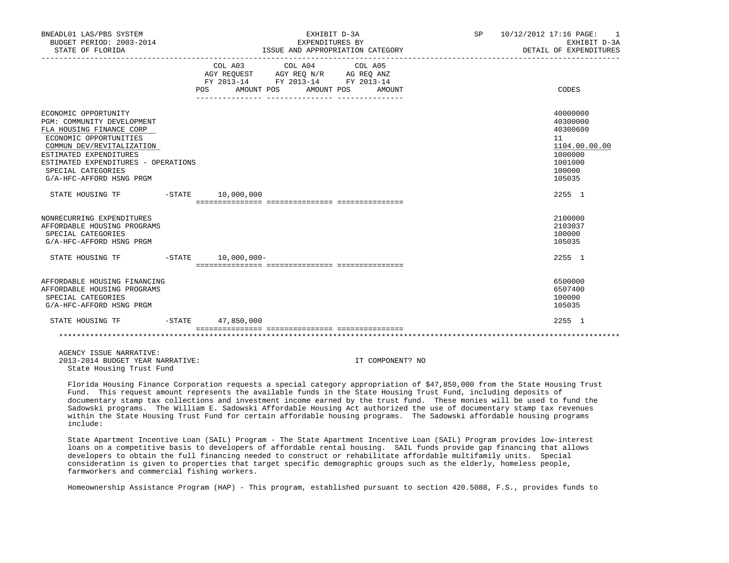| BNEADL01 LAS/PBS SYSTEM<br>BUDGET PERIOD: 2003-2014<br>STATE OF FLORIDA<br>ECONOMIC OPPORTUNITY<br>PGM: COMMUNITY DEVELOPMENT<br>FLA HOUSING FINANCE CORP<br>ECONOMIC OPPORTUNITIES<br>COMMUN DEV/REVITALIZATION<br>ESTIMATED EXPENDITURES<br>ESTIMATED EXPENDITURES - OPERATIONS<br>SPECIAL CATEGORIES<br>G/A-HFC-AFFORD HSNG PRGM | EXHIBIT D-3A<br>EXPENDITURES BY<br>ISSUE AND APPROPRIATION CATEGORY |            |                                                                                                   |  |                       | SP     | 10/12/2012 17:16 PAGE: 1<br>EXHIBIT D-3A<br>DETAIL OF EXPENDITURES |                                                                                                   |
|-------------------------------------------------------------------------------------------------------------------------------------------------------------------------------------------------------------------------------------------------------------------------------------------------------------------------------------|---------------------------------------------------------------------|------------|---------------------------------------------------------------------------------------------------|--|-----------------------|--------|--------------------------------------------------------------------|---------------------------------------------------------------------------------------------------|
|                                                                                                                                                                                                                                                                                                                                     |                                                                     | <b>POS</b> | COL A03 COL A04 COL A05<br>AGY REQUEST AGY REQ N/R AG REQ ANZ<br>FY 2013-14 FY 2013-14 FY 2013-14 |  | AMOUNT POS AMOUNT POS | AMOUNT |                                                                    | CODES                                                                                             |
|                                                                                                                                                                                                                                                                                                                                     |                                                                     |            |                                                                                                   |  |                       |        |                                                                    | 40000000<br>40300000<br>40300600<br>11<br>1104.00.00.00<br>1000000<br>1001000<br>100000<br>105035 |
| STATE HOUSING TF                                                                                                                                                                                                                                                                                                                    |                                                                     |            | $-$ STATE $10,000,000$                                                                            |  |                       |        |                                                                    | 2255 1                                                                                            |
| NONRECURRING EXPENDITURES<br>AFFORDABLE HOUSING PROGRAMS<br>SPECIAL CATEGORIES<br>G/A-HFC-AFFORD HSNG PRGM                                                                                                                                                                                                                          |                                                                     |            |                                                                                                   |  |                       |        |                                                                    | 2100000<br>2103037<br>100000<br>105035                                                            |
| STATE HOUSING TF                                                                                                                                                                                                                                                                                                                    |                                                                     |            | $-STATE$ 10,000,000-                                                                              |  |                       |        |                                                                    | 2255 1                                                                                            |
| AFFORDABLE HOUSING FINANCING<br>AFFORDABLE HOUSING PROGRAMS<br>SPECIAL CATEGORIES<br>G/A-HFC-AFFORD HSNG PRGM                                                                                                                                                                                                                       |                                                                     |            |                                                                                                   |  |                       |        |                                                                    | 6500000<br>6507400<br>100000<br>105035                                                            |
| STATE HOUSING TF                                                                                                                                                                                                                                                                                                                    |                                                                     |            | -STATE 47,850,000                                                                                 |  |                       |        |                                                                    | 2255 1                                                                                            |
|                                                                                                                                                                                                                                                                                                                                     |                                                                     |            |                                                                                                   |  |                       |        |                                                                    |                                                                                                   |

 AGENCY ISSUE NARRATIVE: 2013-2014 BUDGET YEAR NARRATIVE: IT COMPONENT? NO State Housing Trust Fund

 Florida Housing Finance Corporation requests a special category appropriation of \$47,850,000 from the State Housing Trust Fund. This request amount represents the available funds in the State Housing Trust Fund, including deposits of documentary stamp tax collections and investment income earned by the trust fund. These monies will be used to fund the Sadowski programs. The William E. Sadowski Affordable Housing Act authorized the use of documentary stamp tax revenues within the State Housing Trust Fund for certain affordable housing programs. The Sadowski affordable housing programs include:

 State Apartment Incentive Loan (SAIL) Program - The State Apartment Incentive Loan (SAIL) Program provides low-interest loans on a competitive basis to developers of affordable rental housing. SAIL funds provide gap financing that allows developers to obtain the full financing needed to construct or rehabilitate affordable multifamily units. Special consideration is given to properties that target specific demographic groups such as the elderly, homeless people, farmworkers and commercial fishing workers.

Homeownership Assistance Program (HAP) - This program, established pursuant to section 420.5088, F.S., provides funds to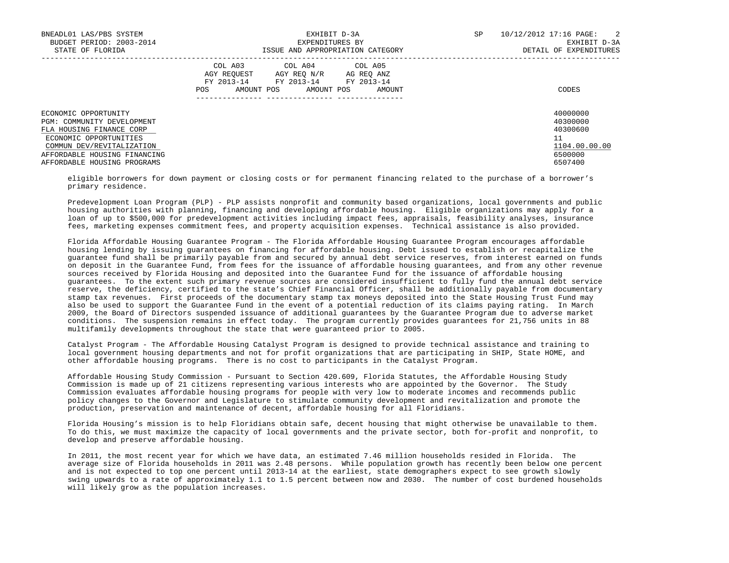| BNEADL01 LAS/PBS SYSTEM<br>BUDGET PERIOD: 2003-2014<br>STATE OF FLORIDA                                                                                                                              | EXHIBIT D-3A<br>EXPENDITURES BY<br>ISSUE AND APPROPRIATION CATEGORY                                                                                  | 10/12/2012 17:16 PAGE:<br>$\overline{2}$<br>SP<br>EXHIBIT D-3A<br>DETAIL OF EXPENDITURES |
|------------------------------------------------------------------------------------------------------------------------------------------------------------------------------------------------------|------------------------------------------------------------------------------------------------------------------------------------------------------|------------------------------------------------------------------------------------------|
|                                                                                                                                                                                                      | COL A03 COL A04 COL A05<br>AGY REOUEST<br>AGY REO N/R<br>AG REO ANZ<br>FY 2013-14 FY 2013-14 FY 2013-14<br>AMOUNT POS<br>AMOUNT POS<br>POS<br>AMOUNT | CODES                                                                                    |
| ECONOMIC OPPORTUNITY<br>PGM: COMMUNITY DEVELOPMENT<br>FLA HOUSING FINANCE CORP<br>ECONOMIC OPPORTUNITIES<br>COMMUN DEV/REVITALIZATION<br>AFFORDABLE HOUSING FINANCING<br>AFFORDABLE HOUSING PROGRAMS |                                                                                                                                                      | 40000000<br>40300000<br>40300600<br>11<br>1104.00.00.00<br>6500000<br>6507400            |

 eligible borrowers for down payment or closing costs or for permanent financing related to the purchase of a borrower's primary residence.

 Predevelopment Loan Program (PLP) - PLP assists nonprofit and community based organizations, local governments and public housing authorities with planning, financing and developing affordable housing. Eligible organizations may apply for a loan of up to \$500,000 for predevelopment activities including impact fees, appraisals, feasibility analyses, insurance fees, marketing expenses commitment fees, and property acquisition expenses. Technical assistance is also provided.

 Florida Affordable Housing Guarantee Program - The Florida Affordable Housing Guarantee Program encourages affordable housing lending by issuing guarantees on financing for affordable housing. Debt issued to establish or recapitalize the guarantee fund shall be primarily payable from and secured by annual debt service reserves, from interest earned on funds on deposit in the Guarantee Fund, from fees for the issuance of affordable housing guarantees, and from any other revenue sources received by Florida Housing and deposited into the Guarantee Fund for the issuance of affordable housing guarantees. To the extent such primary revenue sources are considered insufficient to fully fund the annual debt service reserve, the deficiency, certified to the state's Chief Financial Officer, shall be additionally payable from documentary stamp tax revenues. First proceeds of the documentary stamp tax moneys deposited into the State Housing Trust Fund may also be used to support the Guarantee Fund in the event of a potential reduction of its claims paying rating. In March 2009, the Board of Directors suspended issuance of additional guarantees by the Guarantee Program due to adverse market conditions. The suspension remains in effect today. The program currently provides guarantees for 21,756 units in 88 multifamily developments throughout the state that were guaranteed prior to 2005.

 Catalyst Program - The Affordable Housing Catalyst Program is designed to provide technical assistance and training to local government housing departments and not for profit organizations that are participating in SHIP, State HOME, and other affordable housing programs. There is no cost to participants in the Catalyst Program.

 Affordable Housing Study Commission - Pursuant to Section 420.609, Florida Statutes, the Affordable Housing Study Commission is made up of 21 citizens representing various interests who are appointed by the Governor. The Study Commission evaluates affordable housing programs for people with very low to moderate incomes and recommends public policy changes to the Governor and Legislature to stimulate community development and revitalization and promote the production, preservation and maintenance of decent, affordable housing for all Floridians.

 Florida Housing's mission is to help Floridians obtain safe, decent housing that might otherwise be unavailable to them. To do this, we must maximize the capacity of local governments and the private sector, both for-profit and nonprofit, to develop and preserve affordable housing.

 In 2011, the most recent year for which we have data, an estimated 7.46 million households resided in Florida. The average size of Florida households in 2011 was 2.48 persons. While population growth has recently been below one percent and is not expected to top one percent until 2013-14 at the earliest, state demographers expect to see growth slowly swing upwards to a rate of approximately 1.1 to 1.5 percent between now and 2030. The number of cost burdened households will likely grow as the population increases.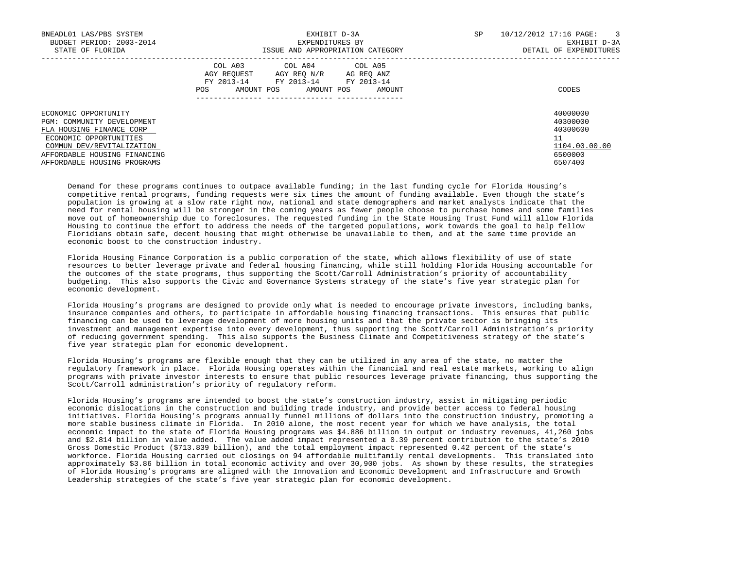| BNEADL01 LAS/PBS SYSTEM<br>BUDGET PERIOD: 2003-2014<br>STATE OF FLORIDA                                                                                                                              | EXHIBIT D-3A<br>EXPENDITURES BY<br>ISSUE AND APPROPRIATION CATEGORY                                                                               | SP<br>10/12/2012 17:16 PAGE:<br>$\overline{\mathbf{3}}$<br>EXHIBIT D-3A<br>DETAIL OF EXPENDITURES |  |
|------------------------------------------------------------------------------------------------------------------------------------------------------------------------------------------------------|---------------------------------------------------------------------------------------------------------------------------------------------------|---------------------------------------------------------------------------------------------------|--|
|                                                                                                                                                                                                      | COL A03 COL A04 COL A05<br>AGY REOUEST<br>AGY REQ N/R AG REQ ANZ<br>FY 2013-14 FY 2013-14 FY 2013-14<br>POS<br>AMOUNT POS<br>AMOUNT POS<br>AMOUNT | CODES                                                                                             |  |
| ECONOMIC OPPORTUNITY<br>PGM: COMMUNITY DEVELOPMENT<br>FLA HOUSING FINANCE CORP<br>ECONOMIC OPPORTUNITIES<br>COMMUN DEV/REVITALIZATION<br>AFFORDABLE HOUSING FINANCING<br>AFFORDABLE HOUSING PROGRAMS |                                                                                                                                                   | 40000000<br>40300000<br>40300600<br>11<br>1104.00.00.00<br>6500000<br>6507400                     |  |

 Demand for these programs continues to outpace available funding; in the last funding cycle for Florida Housing's competitive rental programs, funding requests were six times the amount of funding available. Even though the state's population is growing at a slow rate right now, national and state demographers and market analysts indicate that the need for rental housing will be stronger in the coming years as fewer people choose to purchase homes and some families move out of homeownership due to foreclosures. The requested funding in the State Housing Trust Fund will allow Florida Housing to continue the effort to address the needs of the targeted populations, work towards the goal to help fellow Floridians obtain safe, decent housing that might otherwise be unavailable to them, and at the same time provide an economic boost to the construction industry.

 Florida Housing Finance Corporation is a public corporation of the state, which allows flexibility of use of state resources to better leverage private and federal housing financing, while still holding Florida Housing accountable for the outcomes of the state programs, thus supporting the Scott/Carroll Administration's priority of accountability budgeting. This also supports the Civic and Governance Systems strategy of the state's five year strategic plan for economic development.

 Florida Housing's programs are designed to provide only what is needed to encourage private investors, including banks, insurance companies and others, to participate in affordable housing financing transactions. This ensures that public financing can be used to leverage development of more housing units and that the private sector is bringing its investment and management expertise into every development, thus supporting the Scott/Carroll Administration's priority of reducing government spending. This also supports the Business Climate and Competitiveness strategy of the state's five year strategic plan for economic development.

 Florida Housing's programs are flexible enough that they can be utilized in any area of the state, no matter the regulatory framework in place. Florida Housing operates within the financial and real estate markets, working to align programs with private investor interests to ensure that public resources leverage private financing, thus supporting the Scott/Carroll administration's priority of regulatory reform.

 Florida Housing's programs are intended to boost the state's construction industry, assist in mitigating periodic economic dislocations in the construction and building trade industry, and provide better access to federal housing initiatives. Florida Housing's programs annually funnel millions of dollars into the construction industry, promoting a more stable business climate in Florida. In 2010 alone, the most recent year for which we have analysis, the total economic impact to the state of Florida Housing programs was \$4.886 billion in output or industry revenues, 41,260 jobs and \$2.814 billion in value added. The value added impact represented a 0.39 percent contribution to the state's 2010 Gross Domestic Product (\$713.839 billion), and the total employment impact represented 0.42 percent of the state's workforce. Florida Housing carried out closings on 94 affordable multifamily rental developments. This translated into approximately \$3.86 billion in total economic activity and over 30,900 jobs. As shown by these results, the strategies of Florida Housing's programs are aligned with the Innovation and Economic Development and Infrastructure and Growth Leadership strategies of the state's five year strategic plan for economic development.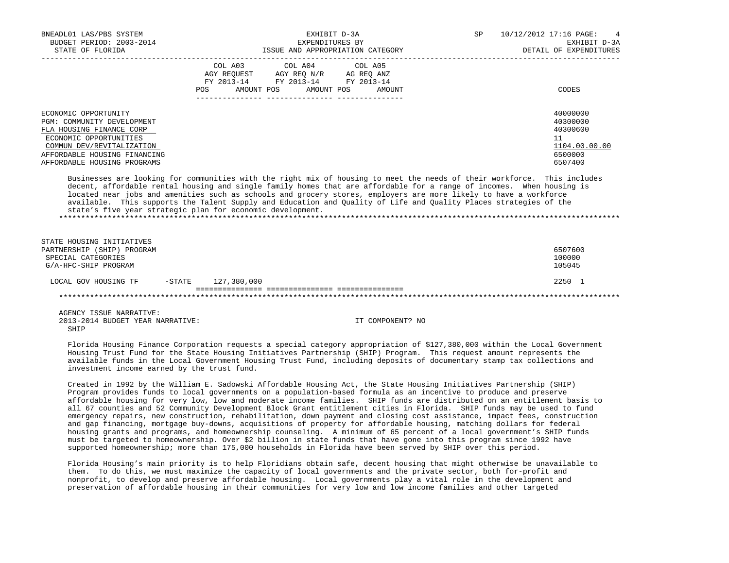| BNEADL01 LAS/PBS SYSTEM<br>BUDGET PERIOD: 2003-2014<br>STATE OF FLORIDA                                                                                                                              | EXHIBIT D-3A<br>EXPENDITURES BY<br>ISSUE AND APPROPRIATION CATEGORY                                                                            | SP<br>$\overline{4}$<br>10/12/2012 17:16 PAGE:<br>EXHIBIT D-3A<br>DETAIL OF EXPENDITURES |
|------------------------------------------------------------------------------------------------------------------------------------------------------------------------------------------------------|------------------------------------------------------------------------------------------------------------------------------------------------|------------------------------------------------------------------------------------------|
|                                                                                                                                                                                                      | COL A03 COL A04 COL A05<br>AGY REOUEST AGY REO N/R AG REO ANZ<br>FY 2013-14 FY 2013-14 FY 2013-14<br>AMOUNT POS<br>POS<br>AMOUNT POS<br>AMOUNT | CODES                                                                                    |
| ECONOMIC OPPORTUNITY<br>PGM: COMMUNITY DEVELOPMENT<br>FLA HOUSING FINANCE CORP<br>ECONOMIC OPPORTUNITIES<br>COMMUN DEV/REVITALIZATION<br>AFFORDABLE HOUSING FINANCING<br>AFFORDABLE HOUSING PROGRAMS |                                                                                                                                                | 40000000<br>40300000<br>40300600<br>11<br>1104.00.00.00<br>6500000<br>6507400            |
|                                                                                                                                                                                                      | Bookerser in trible for committer with the wide of trouber to meet the could be their controllers  But a fouture                               |                                                                                          |

 Businesses are looking for communities with the right mix of housing to meet the needs of their workforce. This includes decent, affordable rental housing and single family homes that are affordable for a range of incomes. When housing is located near jobs and amenities such as schools and grocery stores, employers are more likely to have a workforce available. This supports the Talent Supply and Education and Quality of Life and Quality Places strategies of the state's five year strategic plan for economic development. \*\*\*\*\*\*\*\*\*\*\*\*\*\*\*\*\*\*\*\*\*\*\*\*\*\*\*\*\*\*\*\*\*\*\*\*\*\*\*\*\*\*\*\*\*\*\*\*\*\*\*\*\*\*\*\*\*\*\*\*\*\*\*\*\*\*\*\*\*\*\*\*\*\*\*\*\*\*\*\*\*\*\*\*\*\*\*\*\*\*\*\*\*\*\*\*\*\*\*\*\*\*\*\*\*\*\*\*\*\*\*\*\*\*\*\*\*\*\*\*\*\*\*\*\*\*\*

| STATE HOUSING INITIATIVES       |           |             |  |         |
|---------------------------------|-----------|-------------|--|---------|
| (SHIP) PROGRAM<br>PARTNERSHIP ( |           |             |  | 6507600 |
| SPECIAL CATEGORIES              |           |             |  | 100000  |
| G/A-HFC-SHIP PROGRAM            |           |             |  | 105045  |
|                                 |           |             |  |         |
| LOCAL GOV HOUSING TF            | $-$ STATE | 127,380,000 |  | 2250 1  |
|                                 |           |             |  |         |
|                                 |           |             |  |         |

 AGENCY ISSUE NARRATIVE: 2013-2014 BUDGET YEAR NARRATIVE: IT COMPONENT? NO SHIP

 Florida Housing Finance Corporation requests a special category appropriation of \$127,380,000 within the Local Government Housing Trust Fund for the State Housing Initiatives Partnership (SHIP) Program. This request amount represents the available funds in the Local Government Housing Trust Fund, including deposits of documentary stamp tax collections and investment income earned by the trust fund.

 Created in 1992 by the William E. Sadowski Affordable Housing Act, the State Housing Initiatives Partnership (SHIP) Program provides funds to local governments on a population-based formula as an incentive to produce and preserve affordable housing for very low, low and moderate income families. SHIP funds are distributed on an entitlement basis to all 67 counties and 52 Community Development Block Grant entitlement cities in Florida. SHIP funds may be used to fund emergency repairs, new construction, rehabilitation, down payment and closing cost assistance, impact fees, construction and gap financing, mortgage buy-downs, acquisitions of property for affordable housing, matching dollars for federal housing grants and programs, and homeownership counseling. A minimum of 65 percent of a local government's SHIP funds must be targeted to homeownership. Over \$2 billion in state funds that have gone into this program since 1992 have supported homeownership; more than 175,000 households in Florida have been served by SHIP over this period.

 Florida Housing's main priority is to help Floridians obtain safe, decent housing that might otherwise be unavailable to them. To do this, we must maximize the capacity of local governments and the private sector, both for-profit and nonprofit, to develop and preserve affordable housing. Local governments play a vital role in the development and preservation of affordable housing in their communities for very low and low income families and other targeted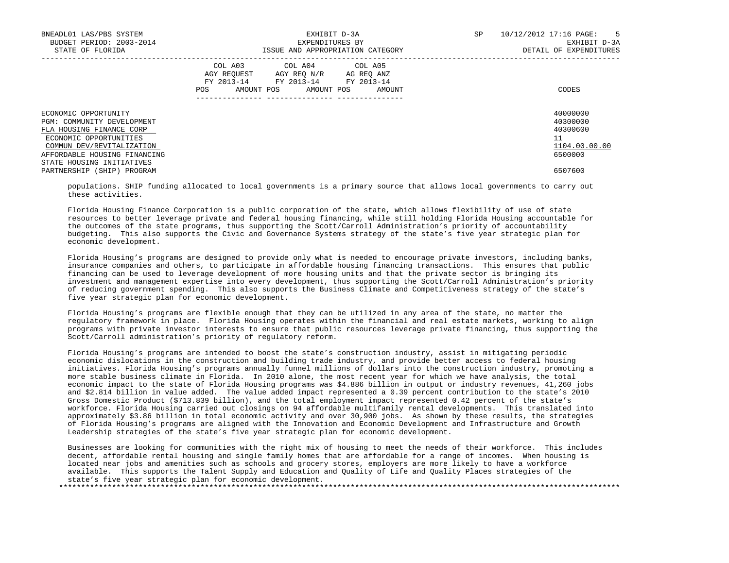| BNEADL01 LAS/PBS SYSTEM<br>BUDGET PERIOD: 2003-2014<br>STATE OF FLORIDA                                                                                                                            | EXHIBIT D-3A<br>EXPENDITURES BY<br>ISSUE AND APPROPRIATION CATEGORY                                                                            | 10/12/2012 17:16 PAGE:<br>$5^{\circ}$<br>SP<br>EXHIBIT D-3A<br>DETAIL OF EXPENDITURES |
|----------------------------------------------------------------------------------------------------------------------------------------------------------------------------------------------------|------------------------------------------------------------------------------------------------------------------------------------------------|---------------------------------------------------------------------------------------|
|                                                                                                                                                                                                    | COL A03 COL A04 COL A05<br>AGY REQUEST AGY REQ N/R AG REQ ANZ<br>FY 2013-14 FY 2013-14 FY 2013-14<br>AMOUNT POS<br>AMOUNT POS<br>POS<br>AMOUNT | CODES                                                                                 |
| ECONOMIC OPPORTUNITY<br>PGM: COMMUNITY DEVELOPMENT<br>FLA HOUSING FINANCE CORP<br>ECONOMIC OPPORTUNITIES<br>COMMUN DEV/REVITALIZATION<br>AFFORDABLE HOUSING FINANCING<br>STATE HOUSING INITIATIVES |                                                                                                                                                | 40000000<br>40300000<br>40300600<br>11<br>1104.00.00.00<br>6500000                    |
| PARTNERSHIP (SHIP) PROGRAM                                                                                                                                                                         |                                                                                                                                                | 6507600                                                                               |

 populations. SHIP funding allocated to local governments is a primary source that allows local governments to carry out these activities.

 Florida Housing Finance Corporation is a public corporation of the state, which allows flexibility of use of state resources to better leverage private and federal housing financing, while still holding Florida Housing accountable for the outcomes of the state programs, thus supporting the Scott/Carroll Administration's priority of accountability budgeting. This also supports the Civic and Governance Systems strategy of the state's five year strategic plan for economic development.

 Florida Housing's programs are designed to provide only what is needed to encourage private investors, including banks, insurance companies and others, to participate in affordable housing financing transactions. This ensures that public financing can be used to leverage development of more housing units and that the private sector is bringing its investment and management expertise into every development, thus supporting the Scott/Carroll Administration's priority of reducing government spending. This also supports the Business Climate and Competitiveness strategy of the state's five year strategic plan for economic development.

 Florida Housing's programs are flexible enough that they can be utilized in any area of the state, no matter the regulatory framework in place. Florida Housing operates within the financial and real estate markets, working to align programs with private investor interests to ensure that public resources leverage private financing, thus supporting the Scott/Carroll administration's priority of regulatory reform.

 Florida Housing's programs are intended to boost the state's construction industry, assist in mitigating periodic economic dislocations in the construction and building trade industry, and provide better access to federal housing initiatives. Florida Housing's programs annually funnel millions of dollars into the construction industry, promoting a more stable business climate in Florida. In 2010 alone, the most recent year for which we have analysis, the total economic impact to the state of Florida Housing programs was \$4.886 billion in output or industry revenues, 41,260 jobs and \$2.814 billion in value added. The value added impact represented a 0.39 percent contribution to the state's 2010 Gross Domestic Product (\$713.839 billion), and the total employment impact represented 0.42 percent of the state's workforce. Florida Housing carried out closings on 94 affordable multifamily rental developments. This translated into approximately \$3.86 billion in total economic activity and over 30,900 jobs. As shown by these results, the strategies of Florida Housing's programs are aligned with the Innovation and Economic Development and Infrastructure and Growth Leadership strategies of the state's five year strategic plan for economic development.

 Businesses are looking for communities with the right mix of housing to meet the needs of their workforce. This includes decent, affordable rental housing and single family homes that are affordable for a range of incomes. When housing is located near jobs and amenities such as schools and grocery stores, employers are more likely to have a workforce available. This supports the Talent Supply and Education and Quality of Life and Quality Places strategies of the state's five year strategic plan for economic development. \*\*\*\*\*\*\*\*\*\*\*\*\*\*\*\*\*\*\*\*\*\*\*\*\*\*\*\*\*\*\*\*\*\*\*\*\*\*\*\*\*\*\*\*\*\*\*\*\*\*\*\*\*\*\*\*\*\*\*\*\*\*\*\*\*\*\*\*\*\*\*\*\*\*\*\*\*\*\*\*\*\*\*\*\*\*\*\*\*\*\*\*\*\*\*\*\*\*\*\*\*\*\*\*\*\*\*\*\*\*\*\*\*\*\*\*\*\*\*\*\*\*\*\*\*\*\*